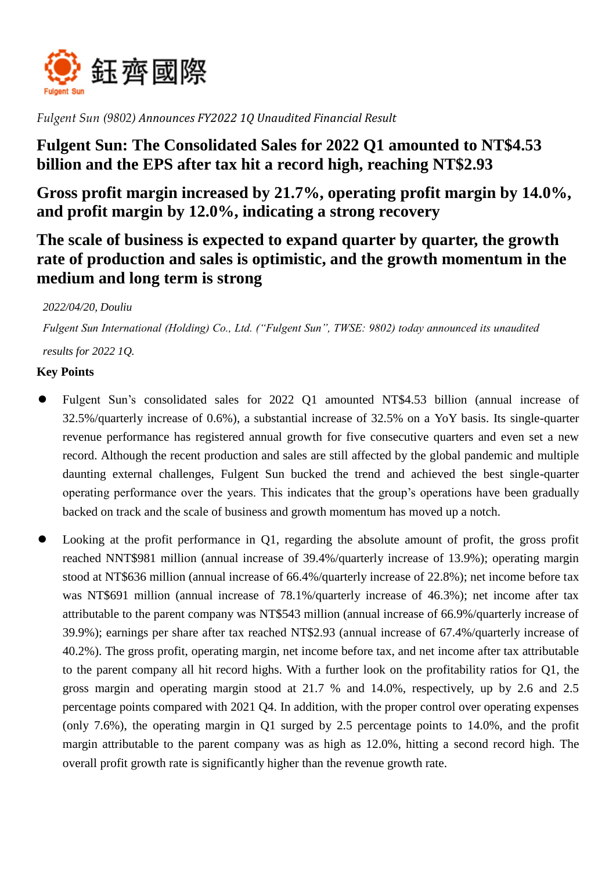

*Fulgent Sun (9802) Announces FY2022 1Q Unaudited Financial Result*

# **Fulgent Sun: The Consolidated Sales for 2022 Q1 amounted to NT\$4.53 billion and the EPS after tax hit a record high, reaching NT\$2.93**

**Gross profit margin increased by 21.7%, operating profit margin by 14.0%, and profit margin by 12.0%, indicating a strong recovery**

# **The scale of business is expected to expand quarter by quarter, the growth rate of production and sales is optimistic, and the growth momentum in the medium and long term is strong**

## *2022/04/20, Douliu*

*Fulgent Sun International (Holding) Co., Ltd. ("Fulgent Sun", TWSE: 9802) today announced its unaudited* 

*results for 2022 1Q.*

### **Key Points**

- Fulgent Sun's consolidated sales for 2022 Q1 amounted NT\$4.53 billion (annual increase of 32.5%/quarterly increase of 0.6%), a substantial increase of 32.5% on a YoY basis. Its single-quarter revenue performance has registered annual growth for five consecutive quarters and even set a new record. Although the recent production and sales are still affected by the global pandemic and multiple daunting external challenges, Fulgent Sun bucked the trend and achieved the best single-quarter operating performance over the years. This indicates that the group's operations have been gradually backed on track and the scale of business and growth momentum has moved up a notch.
- Looking at the profit performance in Q1, regarding the absolute amount of profit, the gross profit reached NNT\$981 million (annual increase of 39.4%/quarterly increase of 13.9%); operating margin stood at NT\$636 million (annual increase of 66.4%/quarterly increase of 22.8%); net income before tax was NT\$691 million (annual increase of 78.1%/quarterly increase of 46.3%); net income after tax attributable to the parent company was NT\$543 million (annual increase of 66.9%/quarterly increase of 39.9%); earnings per share after tax reached NT\$2.93 (annual increase of 67.4%/quarterly increase of 40.2%). The gross profit, operating margin, net income before tax, and net income after tax attributable to the parent company all hit record highs. With a further look on the profitability ratios for Q1, the gross margin and operating margin stood at 21.7 % and 14.0%, respectively, up by 2.6 and 2.5 percentage points compared with 2021 Q4. In addition, with the proper control over operating expenses (only 7.6%), the operating margin in Q1 surged by 2.5 percentage points to 14.0%, and the profit margin attributable to the parent company was as high as 12.0%, hitting a second record high. The overall profit growth rate is significantly higher than the revenue growth rate.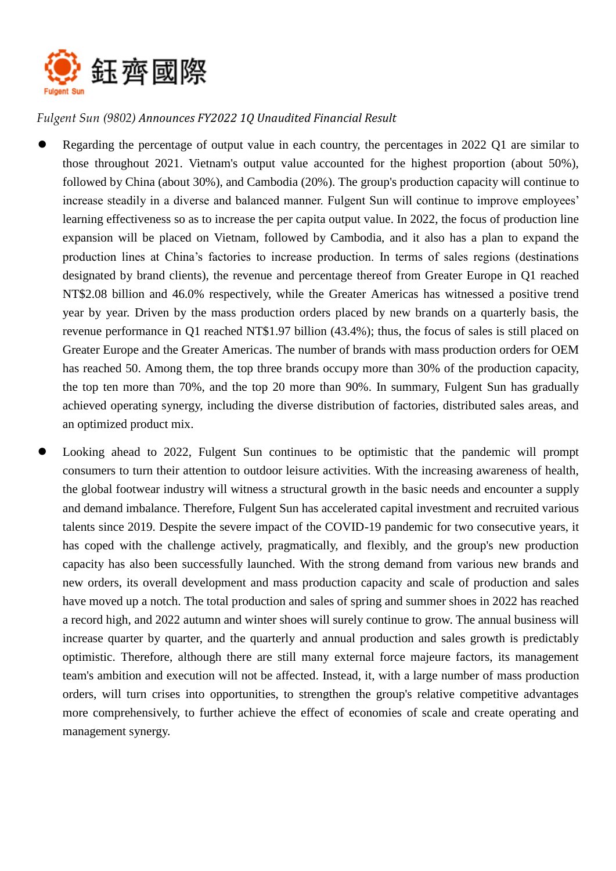

## *Fulgent Sun (9802) Announces FY2022 1Q Unaudited Financial Result*

- Regarding the percentage of output value in each country, the percentages in 2022 Q1 are similar to those throughout 2021. Vietnam's output value accounted for the highest proportion (about 50%), followed by China (about 30%), and Cambodia (20%). The group's production capacity will continue to increase steadily in a diverse and balanced manner. Fulgent Sun will continue to improve employees' learning effectiveness so as to increase the per capita output value. In 2022, the focus of production line expansion will be placed on Vietnam, followed by Cambodia, and it also has a plan to expand the production lines at China's factories to increase production. In terms of sales regions (destinations designated by brand clients), the revenue and percentage thereof from Greater Europe in Q1 reached NT\$2.08 billion and 46.0% respectively, while the Greater Americas has witnessed a positive trend year by year. Driven by the mass production orders placed by new brands on a quarterly basis, the revenue performance in Q1 reached NT\$1.97 billion (43.4%); thus, the focus of sales is still placed on Greater Europe and the Greater Americas. The number of brands with mass production orders for OEM has reached 50. Among them, the top three brands occupy more than 30% of the production capacity, the top ten more than 70%, and the top 20 more than 90%. In summary, Fulgent Sun has gradually achieved operating synergy, including the diverse distribution of factories, distributed sales areas, and an optimized product mix.
- Looking ahead to 2022, Fulgent Sun continues to be optimistic that the pandemic will prompt consumers to turn their attention to outdoor leisure activities. With the increasing awareness of health, the global footwear industry will witness a structural growth in the basic needs and encounter a supply and demand imbalance. Therefore, Fulgent Sun has accelerated capital investment and recruited various talents since 2019. Despite the severe impact of the COVID-19 pandemic for two consecutive years, it has coped with the challenge actively, pragmatically, and flexibly, and the group's new production capacity has also been successfully launched. With the strong demand from various new brands and new orders, its overall development and mass production capacity and scale of production and sales have moved up a notch. The total production and sales of spring and summer shoes in 2022 has reached a record high, and 2022 autumn and winter shoes will surely continue to grow. The annual business will increase quarter by quarter, and the quarterly and annual production and sales growth is predictably optimistic. Therefore, although there are still many external force majeure factors, its management team's ambition and execution will not be affected. Instead, it, with a large number of mass production orders, will turn crises into opportunities, to strengthen the group's relative competitive advantages more comprehensively, to further achieve the effect of economies of scale and create operating and management synergy.